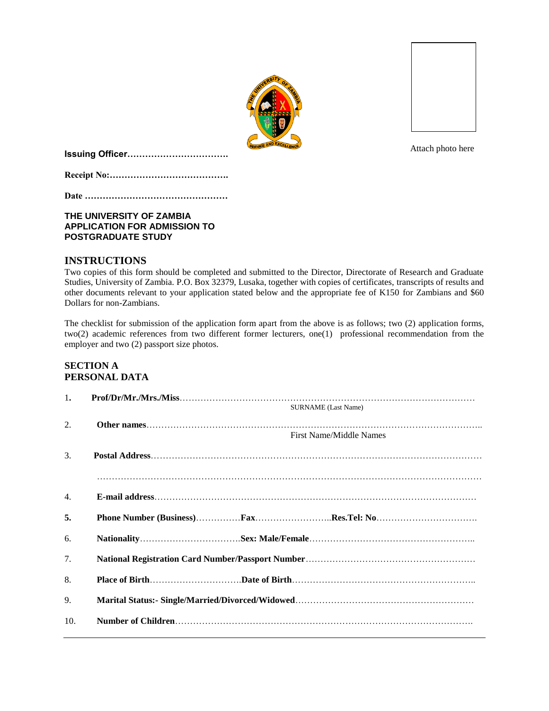



**Issuing Officer…………………………….**

**Receipt No:………………………………….**

**Date …………………………………………**

# **THE UNIVERSITY OF ZAMBIA APPLICATION FOR ADMISSION TO POSTGRADUATE STUDY**

# **INSTRUCTIONS**

Two copies of this form should be completed and submitted to the Director, Directorate of Research and Graduate Studies, University of Zambia. P.O. Box 32379, Lusaka, together with copies of certificates, transcripts of results and other documents relevant to your application stated below and the appropriate fee of K150 for Zambians and \$60 Dollars for non-Zambians.

The checklist for submission of the application form apart from the above is as follows; two (2) application forms, two(2) academic references from two different former lecturers, one(1) professional recommendation from the employer and two (2) passport size photos.

# **SECTION A PERSONAL DATA**

| 1.  | <b>SURNAME</b> (Last Name) |
|-----|----------------------------|
| 2.  | First Name/Middle Names    |
| 3.  |                            |
| 4.  |                            |
| 5.  |                            |
| 6.  |                            |
| 7.  |                            |
| 8.  |                            |
| 9.  |                            |
| 10. |                            |

Attach photo here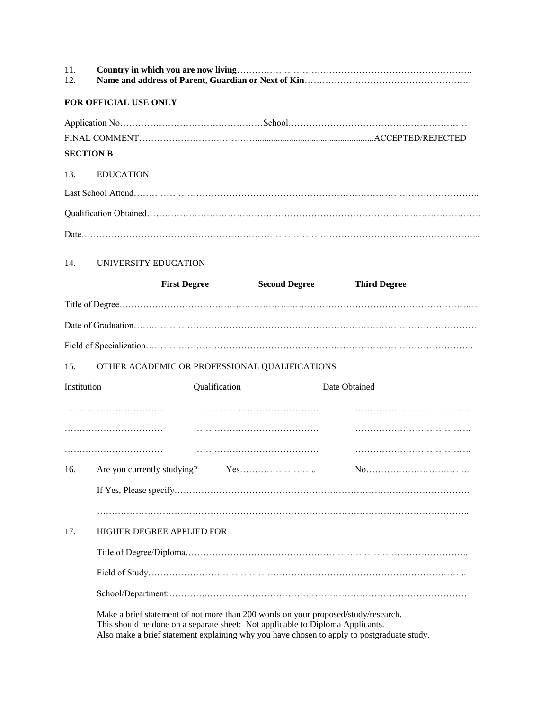| 11. |  |
|-----|--|
| 12. |  |

# **FOR OFFICIAL USE ONLY**

# 13. EDUCATION

Last School Attend…………………………………………………………………………………………………….. Qualification Obtained…………………………………………………………………………………………………. Date……………………………………………………………………………………………………………………..

## 14. UNIVERSITY EDUCATION

|             |  | <b>First Degree</b>       | <b>Second Degree</b>                                                           | <b>Third Degree</b>                                                                                                                                                              |  |
|-------------|--|---------------------------|--------------------------------------------------------------------------------|----------------------------------------------------------------------------------------------------------------------------------------------------------------------------------|--|
|             |  |                           |                                                                                |                                                                                                                                                                                  |  |
|             |  |                           |                                                                                |                                                                                                                                                                                  |  |
|             |  |                           |                                                                                |                                                                                                                                                                                  |  |
| 15.         |  |                           | OTHER ACADEMIC OR PROFESSIONAL QUALIFICATIONS                                  |                                                                                                                                                                                  |  |
| Institution |  | Qualification             |                                                                                | Date Obtained                                                                                                                                                                    |  |
|             |  |                           |                                                                                |                                                                                                                                                                                  |  |
|             |  |                           |                                                                                |                                                                                                                                                                                  |  |
|             |  |                           |                                                                                |                                                                                                                                                                                  |  |
| 16.         |  |                           |                                                                                |                                                                                                                                                                                  |  |
|             |  |                           |                                                                                |                                                                                                                                                                                  |  |
|             |  |                           |                                                                                |                                                                                                                                                                                  |  |
| 17.         |  | HIGHER DEGREE APPLIED FOR |                                                                                |                                                                                                                                                                                  |  |
|             |  |                           |                                                                                |                                                                                                                                                                                  |  |
|             |  |                           |                                                                                |                                                                                                                                                                                  |  |
|             |  |                           |                                                                                |                                                                                                                                                                                  |  |
|             |  |                           | This should be done on a separate sheet: Not applicable to Diploma Applicants. | Make a brief statement of not more than 200 words on your proposed/study/research.<br>Also make a brief statement explaining why you have chosen to apply to postgraduate study. |  |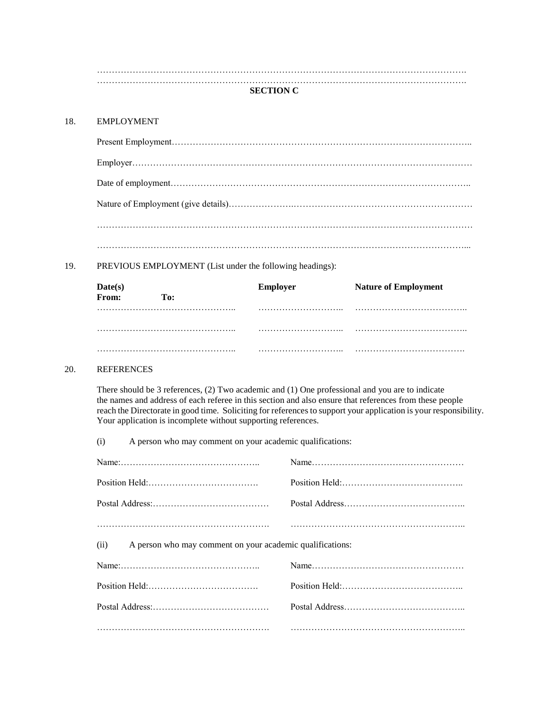……………………………………………………………………………………………………………. …………………………………………………………………………………………………………….

## **SECTION C**

#### 18. EMPLOYMENT

19. PREVIOUS EMPLOYMENT (List under the following headings):

| Date(s)<br>From: | To: | <b>Employer</b> | <b>Nature of Employment</b> |
|------------------|-----|-----------------|-----------------------------|
|                  |     |                 |                             |
|                  |     |                 |                             |
|                  |     |                 |                             |

#### 20. REFERENCES

There should be 3 references, (2) Two academic and (1) One professional and you are to indicate the names and address of each referee in this section and also ensure that references from these people reach the Directorate in good time. Soliciting for references to support your application is your responsibility. Your application is incomplete without supporting references.

(i) A person who may comment on your academic qualifications:

| A person who may comment on your academic qualifications:<br>(ii) |  |
|-------------------------------------------------------------------|--|
|                                                                   |  |
|                                                                   |  |
|                                                                   |  |
|                                                                   |  |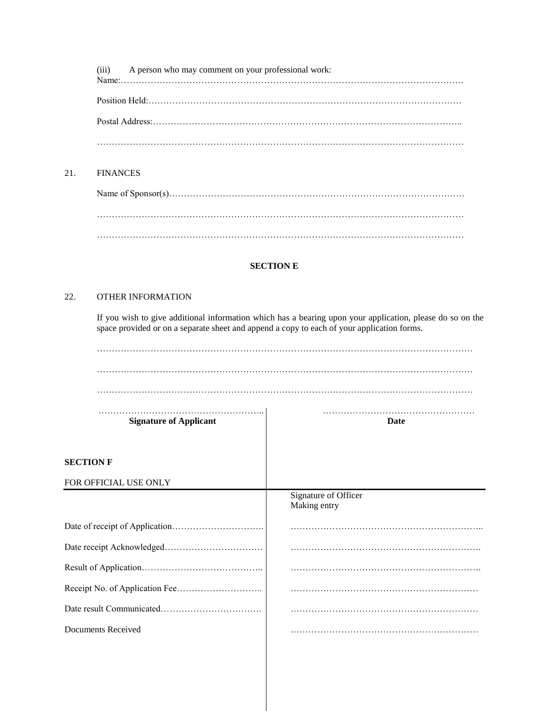(iii) A person who may comment on your professional work:

Name:……………………………………………………………………………………………………. Position Held:…………………………………………………………………………………………… Postal Address:………………………………………………………………………………………….. ……………………………………………………………………………………………………………

# 21. FINANCES

Name of Sponsor(s)……………………………………………………………………………………… …………………………………………………………………………………………………………… . The same independent of the same independent of the same independent of the same independent of the same independent of the same independent of the same independent of the same independent of the same independent of the

# **SECTION E**

# 22. OTHER INFORMATION

If you wish to give additional information which has a bearing upon your application, please do so on the space provided or on a separate sheet and append a copy to each of your application forms.

| <b>Date</b>                          |  |  |
|--------------------------------------|--|--|
|                                      |  |  |
|                                      |  |  |
| Signature of Officer<br>Making entry |  |  |
|                                      |  |  |
|                                      |  |  |
|                                      |  |  |
|                                      |  |  |
|                                      |  |  |
|                                      |  |  |
|                                      |  |  |